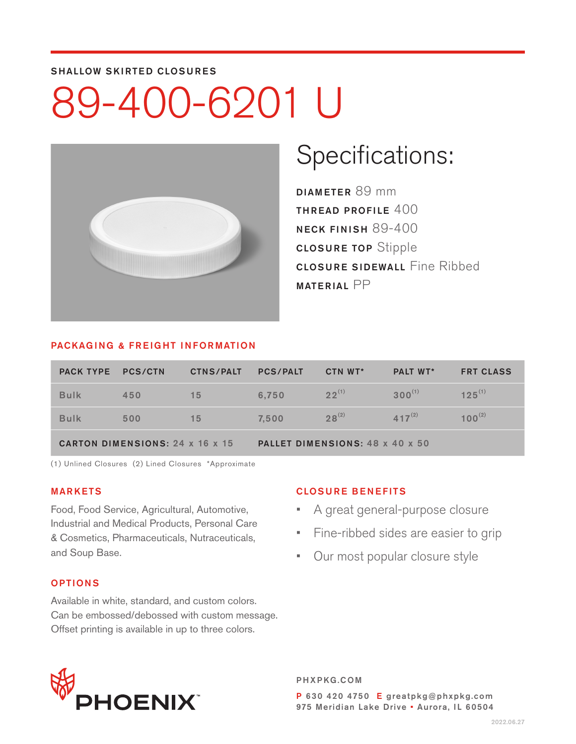#### SHALLOW SKIRTED CLOSURES

# 89-400-6201 U



### Specifications:

DIAMETER 89 mm THREAD PROFILE 400 NECK FINISH 89-400 CLOSURE TOP Stipple CLOSURE SIDEWALL Fine Ribbed MATERIAL PP

#### PACKAGING & FREIGHT INFORMATION

| <b>PACK TYPE</b>                       | <b>PCS/CTN</b> | <b>CTNS/PALT</b> | <b>PCS/PALT</b>                 | CTN WT*    | <b>PALT WT*</b> | <b>FRT CLASS</b> |  |
|----------------------------------------|----------------|------------------|---------------------------------|------------|-----------------|------------------|--|
| <b>Bulk</b>                            | 450            | 15               | 6.750                           | $22^{(1)}$ | $300^{(1)}$     | $125^{(1)}$      |  |
| <b>Bulk</b>                            | 500            | 15               | 7,500                           | $28^{(2)}$ | $417^{(2)}$     | $100^{(2)}$      |  |
| <b>CARTON DIMENSIONS: 24 x 16 x 15</b> |                |                  | PALLET DIMENSIONS: 48 x 40 x 50 |            |                 |                  |  |

(1) Unlined Closures (2) Lined Closures \*Approximate

### MARKETS

Food, Food Service, Agricultural, Automotive, Industrial and Medical Products, Personal Care & Cosmetics, Pharmaceuticals, Nutraceuticals, and Soup Base.

#### OPTIONS

Available in white, standard, and custom colors. Can be embossed/debossed with custom message. Offset printing is available in up to three colors.

### CLOSURE BENEFITS

- A great general-purpose closure
- Fine-ribbed sides are easier to grip
- Our most popular closure style



PHXPKG.COM P 630 420 4750 E greatpkg@phxpkg.com 975 Meridian Lake Drive · Aurora, IL 60504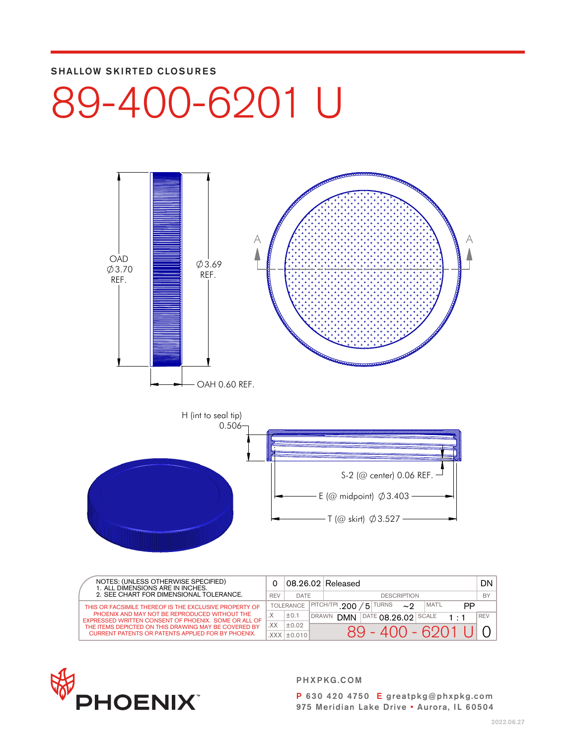### SHALLOW SKIRTED CLOSURES

## 89-400-6201 U



| NOTES: (UNLESS OTHERWISE SPECIFIED)<br>1. ALL DIMENSIONS ARE IN INCHES.<br>2. SEE CHART FOR DIMENSIONAL TOLERANCE. |              |                   |              | 08.26.02 Released                                         | DN I       |
|--------------------------------------------------------------------------------------------------------------------|--------------|-------------------|--------------|-----------------------------------------------------------|------------|
|                                                                                                                    |              | DATE              |              | <b>DESCRIPTION</b>                                        | <b>BY</b>  |
| THIS OR FACSIMILE THEREOF IS THE EXCLUSIVE PROPERTY OF                                                             |              | <b>TOLERANCE</b>  |              | $\sqrt{5}$ TURNS<br>MAT'L<br><b>IPITCH/TPI .200</b><br>PP |            |
| PHOENIX AND MAY NOT BE REPRODUCED WITHOUT THE<br>EXPRESSED WRITTEN CONSENT OF PHOENIX. SOME OR ALL OF              | $\checkmark$ | ±0.1              | <b>DRAWN</b> | <b>DATE 08.26.02</b><br><b>DMN</b><br>SCALE               | <b>REV</b> |
| THE ITEMS DEPICTED ON THIS DRAWING MAY BE COVERED BY                                                               | XX.          | ±0.02             |              | $89 - 400 - 6201$                                         |            |
| <b>CURRENT PATENTS OR PATENTS APPLIED FOR BY PHOENIX.</b>                                                          |              | $XXX$ $\pm$ 0.010 |              |                                                           |            |



PHXPKG.COM

P 630 420 4750 E greatpkg@phxpkg.com 975 Meridian Lake Drive • Aurora, IL 60504